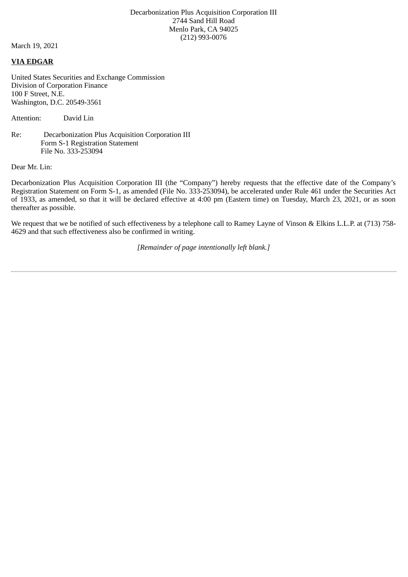Decarbonization Plus Acquisition Corporation III 2744 Sand Hill Road Menlo Park, CA 94025 (212) 993-0076

March 19, 2021

## **VIA EDGAR**

United States Securities and Exchange Commission Division of Corporation Finance 100 F Street, N.E. Washington, D.C. 20549-3561

Attention: David Lin

Re: Decarbonization Plus Acquisition Corporation III Form S-1 Registration Statement File No. 333-253094

Dear Mr. Lin:

Decarbonization Plus Acquisition Corporation III (the "Company") hereby requests that the effective date of the Company's Registration Statement on Form S-1, as amended (File No. 333-253094), be accelerated under Rule 461 under the Securities Act of 1933, as amended, so that it will be declared effective at 4:00 pm (Eastern time) on Tuesday, March 23, 2021, or as soon thereafter as possible.

We request that we be notified of such effectiveness by a telephone call to Ramey Layne of Vinson & Elkins L.L.P. at (713) 758- 4629 and that such effectiveness also be confirmed in writing.

*[Remainder of page intentionally left blank.]*